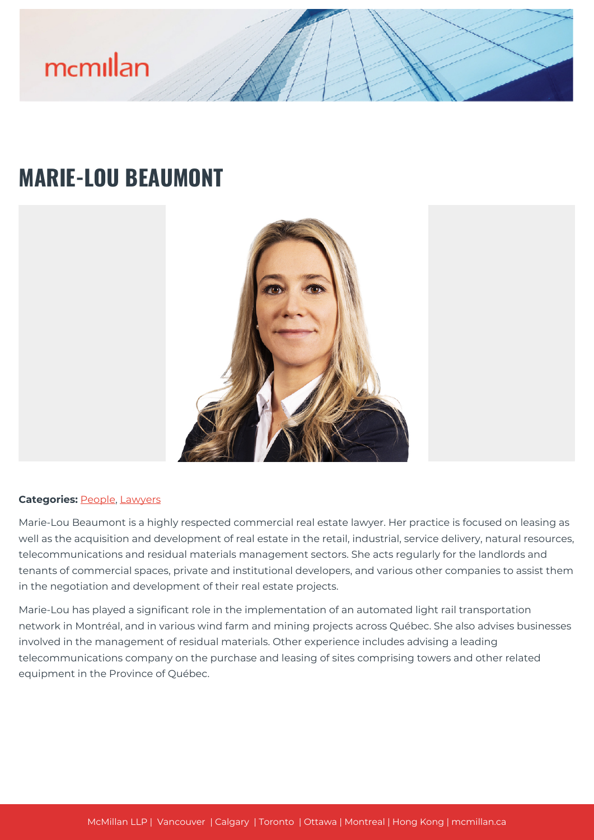

## **MARIE-LOU BEAUMONT**



## **Categories: [People,](https://mcmillan.ca/people/) [Lawyers](https://mcmillan.ca/people/lawyers/)**

Marie-Lou Beaumont is a highly respected commercial real estate lawyer. Her practice is focused on leasing as well as the acquisition and development of real estate in the retail, industrial, service delivery, natural resources, telecommunications and residual materials management sectors. She acts regularly for the landlords and tenants of commercial spaces, private and institutional developers, and various other companies to assist them in the negotiation and development of their real estate projects.

Marie-Lou has played a significant role in the implementation of an automated light rail transportation network in Montréal, and in various wind farm and mining projects across Québec. She also advises businesses involved in the management of residual materials. Other experience includes advising a leading telecommunications company on the purchase and leasing of sites comprising towers and other related equipment in the Province of Québec.